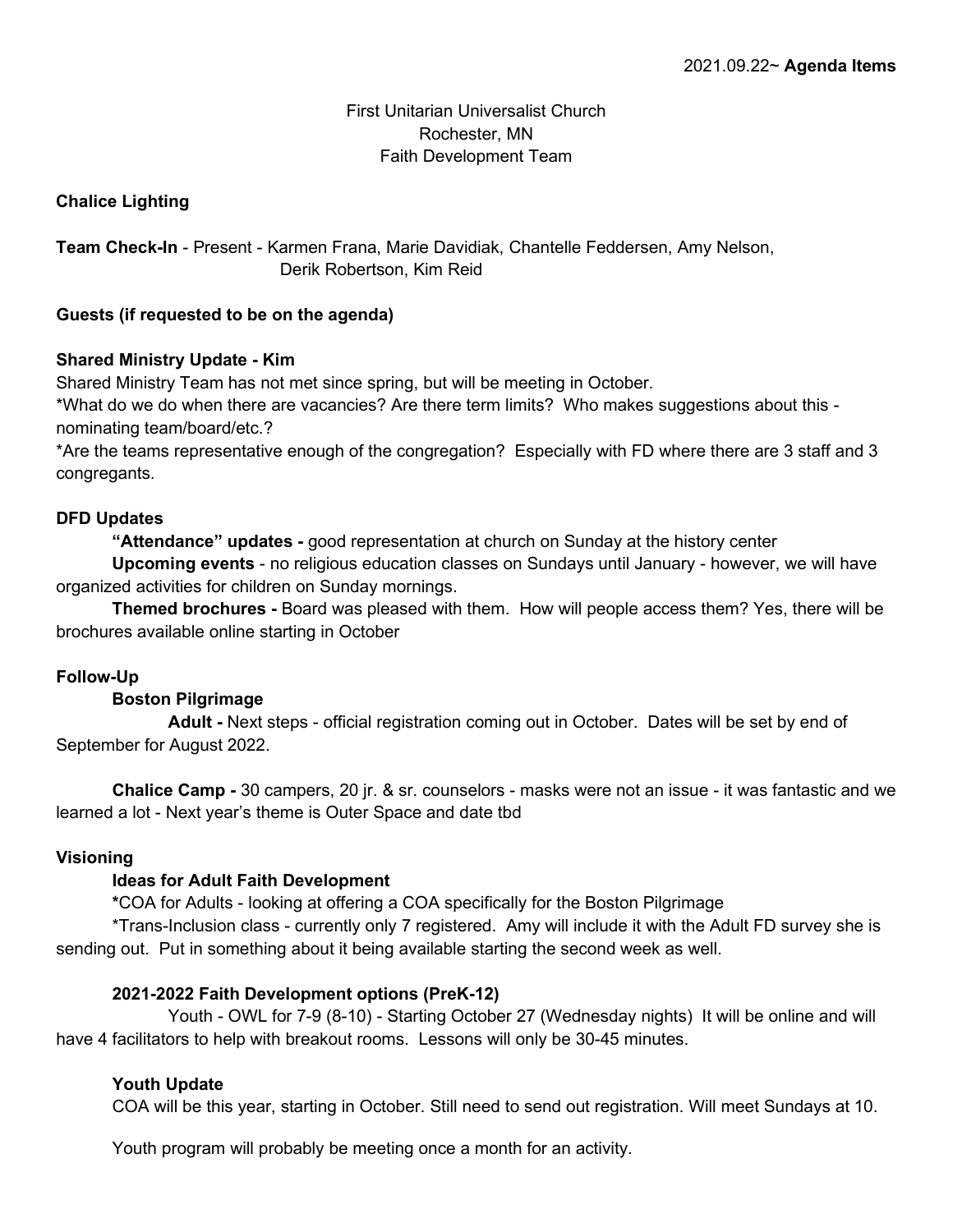## First Unitarian Universalist Church Rochester, MN Faith Development Team

## **Chalice Lighting**

**Team Check-In** - Present - Karmen Frana, Marie Davidiak, Chantelle Feddersen, Amy Nelson, Derik Robertson, Kim Reid

### **Guests (if requested to be on the agenda)**

### **Shared Ministry Update - Kim**

Shared Ministry Team has not met since spring, but will be meeting in October.

\*What do we do when there are vacancies? Are there term limits? Who makes suggestions about this nominating team/board/etc.?

\*Are the teams representative enough of the congregation? Especially with FD where there are 3 staff and 3 congregants.

#### **DFD Updates**

**"Attendance" updates -** good representation at church on Sunday at the history center

**Upcoming events** - no religious education classes on Sundays until January - however, we will have organized activities for children on Sunday mornings.

**Themed brochures -** Board was pleased with them. How will people access them? Yes, there will be brochures available online starting in October

### **Follow-Up**

### **Boston Pilgrimage**

**Adult -** Next steps - official registration coming out in October. Dates will be set by end of September for August 2022.

**Chalice Camp -** 30 campers, 20 jr. & sr. counselors - masks were not an issue - it was fantastic and we learned a lot - Next year's theme is Outer Space and date tbd

### **Visioning**

### **Ideas for Adult Faith Development**

**\***COA for Adults - looking at offering a COA specifically for the Boston Pilgrimage

\*Trans-Inclusion class - currently only 7 registered. Amy will include it with the Adult FD survey she is sending out. Put in something about it being available starting the second week as well.

### **2021-2022 Faith Development options (PreK-12)**

Youth - OWL for 7-9 (8-10) - Starting October 27 (Wednesday nights) It will be online and will have 4 facilitators to help with breakout rooms. Lessons will only be 30-45 minutes.

### **Youth Update**

COA will be this year, starting in October. Still need to send out registration. Will meet Sundays at 10.

Youth program will probably be meeting once a month for an activity.